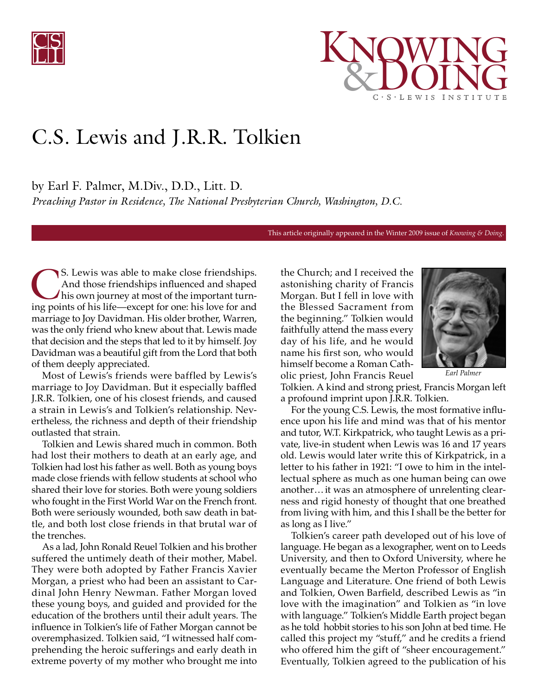



## C.S. Lewis and J.R.R. Tolkien

by Earl F. Palmer, M.Div., D.D., Litt. D.

*Preaching Pastor in Residence, The National Presbyterian Church, Washington, D.C.*

This article originally appeared in the Winter 2009 issue of *Knowing & Doing.*

S. Lewis was able to make close friendships.<br>And those friendships influenced and shaped<br>his own journey at most of the important turn-<br>ing points of his life—except for one; his love for and And those friendships influenced and shaped his own journey at most of the important turning points of his life—except for one: his love for and marriage to Joy Davidman. His older brother, Warren, was the only friend who knew about that. Lewis made that decision and the steps that led to it by himself. Joy Davidman was a beautiful gift from the Lord that both of them deeply appreciated.

Most of Lewis's friends were baffled by Lewis's marriage to Joy Davidman. But it especially baffled J.R.R. Tolkien, one of his closest friends, and caused a strain in Lewis's and Tolkien's relationship. Nevertheless, the richness and depth of their friendship outlasted that strain.

Tolkien and Lewis shared much in common. Both had lost their mothers to death at an early age, and Tolkien had lost his father as well. Both as young boys made close friends with fellow students at school who shared their love for stories. Both were young soldiers who fought in the First World War on the French front. Both were seriously wounded, both saw death in battle, and both lost close friends in that brutal war of the trenches.

As a lad, John Ronald Reuel Tolkien and his brother suffered the untimely death of their mother, Mabel. They were both adopted by Father Francis Xavier Morgan, a priest who had been an assistant to Cardinal John Henry Newman. Father Morgan loved these young boys, and guided and provided for the education of the brothers until their adult years. The influence in Tolkien's life of Father Morgan cannot be overemphasized. Tolkien said, "I witnessed half comprehending the heroic sufferings and early death in extreme poverty of my mother who brought me into

the Church; and I received the astonishing charity of Francis Morgan. But I fell in love with the Blessed Sacrament from the beginning." Tolkien would faithfully attend the mass every day of his life, and he would name his first son, who would himself become a Roman Catholic priest, John Francis Reuel



*Earl Palmer*

Tolkien. A kind and strong priest, Francis Morgan left a profound imprint upon J.R.R. Tolkien.

For the young C.S. Lewis, the most formative influence upon his life and mind was that of his mentor and tutor, W.T. Kirkpatrick, who taught Lewis as a private, live-in student when Lewis was 16 and 17 years old. Lewis would later write this of Kirkpatrick, in a letter to his father in 1921: "I owe to him in the intellectual sphere as much as one human being can owe another… it was an atmosphere of unrelenting clearness and rigid honesty of thought that one breathed from living with him, and this I shall be the better for as long as I live."

Tolkien's career path developed out of his love of language. He began as a lexographer, went on to Leeds University, and then to Oxford University, where he eventually became the Merton Professor of English Language and Literature. One friend of both Lewis and Tolkien, Owen Barfield, described Lewis as "in love with the imagination" and Tolkien as "in love with language." Tolkien's Middle Earth project began as he told hobbit stories to his son John at bed time. He called this project my "stuff," and he credits a friend who offered him the gift of "sheer encouragement." Eventually, Tolkien agreed to the publication of his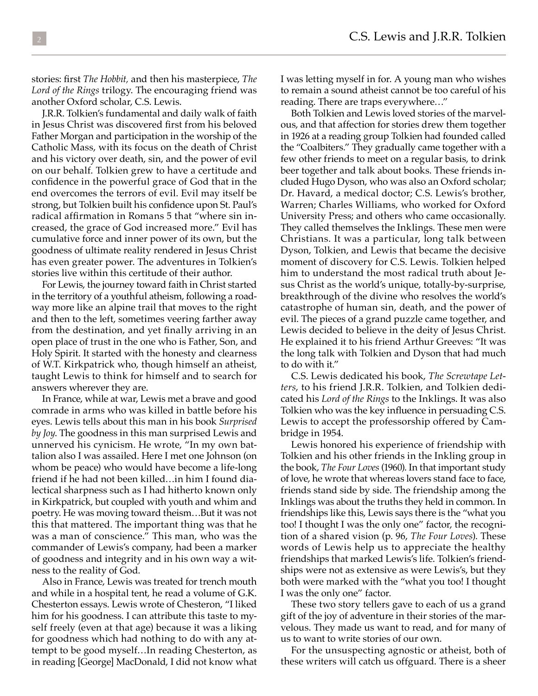stories: first *The Hobbit,* and then his masterpiece, *The Lord of the Rings* trilogy. The encouraging friend was another Oxford scholar, C.S. Lewis.

J.R.R. Tolkien's fundamental and daily walk of faith in Jesus Christ was discovered first from his beloved Father Morgan and participation in the worship of the Catholic Mass, with its focus on the death of Christ and his victory over death, sin, and the power of evil on our behalf. Tolkien grew to have a certitude and confidence in the powerful grace of God that in the end overcomes the terrors of evil. Evil may itself be strong, but Tolkien built his confidence upon St. Paul's radical affirmation in Romans 5 that "where sin increased, the grace of God increased more." Evil has cumulative force and inner power of its own, but the goodness of ultimate reality rendered in Jesus Christ has even greater power. The adventures in Tolkien's stories live within this certitude of their author.

For Lewis, the journey toward faith in Christ started in the territory of a youthful atheism, following a roadway more like an alpine trail that moves to the right and then to the left, sometimes veering farther away from the destination, and yet finally arriving in an open place of trust in the one who is Father, Son, and Holy Spirit. It started with the honesty and clearness of W.T. Kirkpatrick who, though himself an atheist, taught Lewis to think for himself and to search for answers wherever they are.

In France, while at war, Lewis met a brave and good comrade in arms who was killed in battle before his eyes. Lewis tells about this man in his book *Surprised by Joy*. The goodness in this man surprised Lewis and unnerved his cynicism. He wrote, "In my own battalion also I was assailed. Here I met one Johnson (on whom be peace) who would have become a life-long friend if he had not been killed…in him I found dialectical sharpness such as I had hitherto known only in Kirkpatrick, but coupled with youth and whim and poetry. He was moving toward theism…But it was not this that mattered. The important thing was that he was a man of conscience." This man, who was the commander of Lewis's company, had been a marker of goodness and integrity and in his own way a witness to the reality of God.

Also in France, Lewis was treated for trench mouth and while in a hospital tent, he read a volume of G.K. Chesterton essays. Lewis wrote of Chesteron, "I liked him for his goodness. I can attribute this taste to myself freely (even at that age) because it was a liking for goodness which had nothing to do with any attempt to be good myself…In reading Chesterton, as in reading [George] MacDonald, I did not know what I was letting myself in for. A young man who wishes to remain a sound atheist cannot be too careful of his reading. There are traps everywhere…"

Both Tolkien and Lewis loved stories of the marvelous, and that affection for stories drew them together in 1926 at a reading group Tolkien had founded called the "Coalbiters." They gradually came together with a few other friends to meet on a regular basis, to drink beer together and talk about books. These friends included Hugo Dyson, who was also an Oxford scholar; Dr. Havard, a medical doctor; C.S. Lewis's brother, Warren; Charles Williams, who worked for Oxford University Press; and others who came occasionally. They called themselves the Inklings. These men were Christians. It was a particular, long talk between Dyson, Tolkien, and Lewis that became the decisive moment of discovery for C.S. Lewis. Tolkien helped him to understand the most radical truth about Jesus Christ as the world's unique, totally-by-surprise, breakthrough of the divine who resolves the world's catastrophe of human sin, death, and the power of evil. The pieces of a grand puzzle came together, and Lewis decided to believe in the deity of Jesus Christ. He explained it to his friend Arthur Greeves: "It was the long talk with Tolkien and Dyson that had much to do with it."

C.S. Lewis dedicated his book, *The Screwtape Letters*, to his friend J.R.R. Tolkien, and Tolkien dedicated his *Lord of the Rings* to the Inklings. It was also Tolkien who was the key influence in persuading C.S. Lewis to accept the professorship offered by Cambridge in 1954.

Lewis honored his experience of friendship with Tolkien and his other friends in the Inkling group in the book, *The Four Loves* (1960). In that important study of love, he wrote that whereas lovers stand face to face, friends stand side by side. The friendship among the Inklings was about the truths they held in common. In friendships like this, Lewis says there is the "what you too! I thought I was the only one" factor, the recognition of a shared vision (p. 96, *The Four Loves*). These words of Lewis help us to appreciate the healthy friendships that marked Lewis's life. Tolkien's friendships were not as extensive as were Lewis's, but they both were marked with the "what you too! I thought I was the only one" factor.

These two story tellers gave to each of us a grand gift of the joy of adventure in their stories of the marvelous. They made us want to read, and for many of us to want to write stories of our own.

For the unsuspecting agnostic or atheist, both of these writers will catch us offguard. There is a sheer